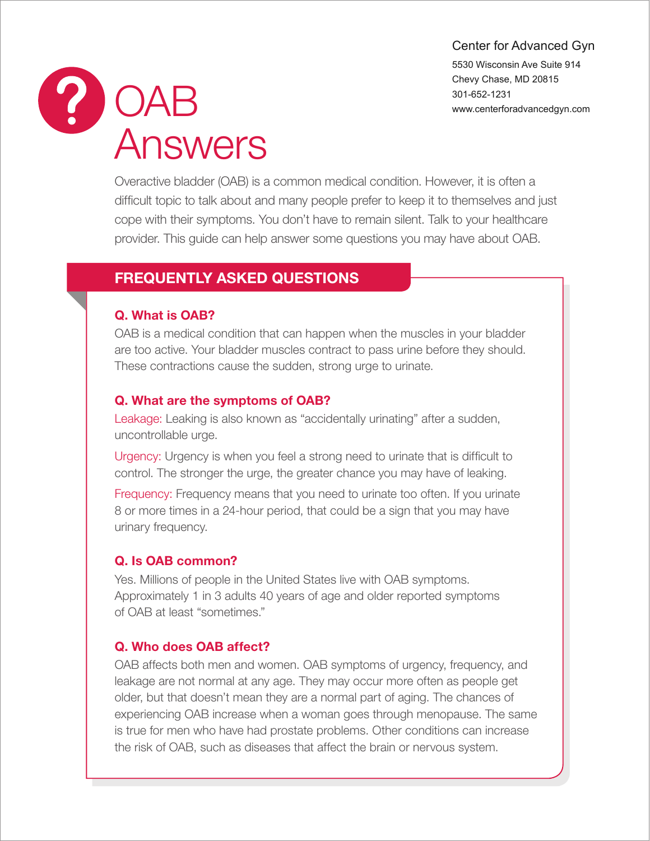### Center for Advanced Gyn

5530 Wisconsin Ave Suite 914 Chevy Chase, MD 20815 301-652-1231 www.centerforadvancedgyn.com



Overactive bladder (OAB) is a common medical condition. However, it is often a difficult topic to talk about and many people prefer to keep it to themselves and just cope with their symptoms. You don't have to remain silent. Talk to your healthcare provider. This guide can help answer some questions you may have about OAB.

## FREQUENTLY ASKED QUESTIONS

### Q. What is OAB?

OAB is a medical condition that can happen when the muscles in your bladder are too active. Your bladder muscles contract to pass urine before they should. These contractions cause the sudden, strong urge to urinate.

### Q. What are the symptoms of OAB?

Leakage: Leaking is also known as "accidentally urinating" after a sudden, uncontrollable urge.

Urgency: Urgency is when you feel a strong need to urinate that is difficult to control. The stronger the urge, the greater chance you may have of leaking.

Frequency: Frequency means that you need to urinate too often. If you urinate 8 or more times in a 24-hour period, that could be a sign that you may have urinary frequency.

### Q. Is OAB common?

Yes. Millions of people in the United States live with OAB symptoms. Approximately 1 in 3 adults 40 years of age and older reported symptoms of OAB at least "sometimes."

## Q. Who does OAB affect?

OAB affects both men and women. OAB symptoms of urgency, frequency, and leakage are not normal at any age. They may occur more often as people get older, but that doesn't mean they are a normal part of aging. The chances of experiencing OAB increase when a woman goes through menopause. The same is true for men who have had prostate problems. Other conditions can increase the risk of OAB, such as diseases that affect the brain or nervous system.